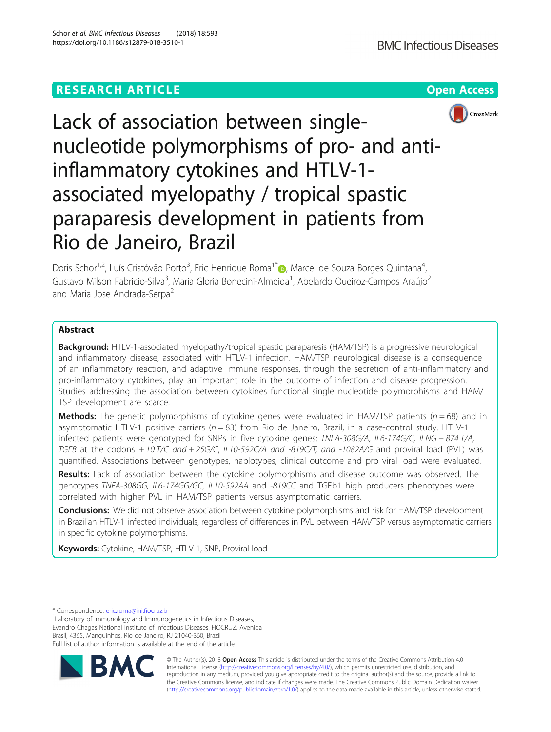# **RESEARCH ARTICLE Example 2018 12:30 THE Open Access**



# Lack of association between singlenucleotide polymorphisms of pro- and antiinflammatory cytokines and HTLV-1 associated myelopathy / tropical spastic paraparesis development in patients from Rio de Janeiro, Brazil

Doris Schor<sup>1,2</sup>, Luís Cristóvão Porto<sup>3</sup>, Eric Henrique Roma<sup>1[\\*](http://orcid.org/0000-0001-5265-5277)</sup>io, Marcel de Souza Borges Quintana<sup>4</sup> , Gustavo Milson Fabricio-Silva<sup>3</sup>, Maria Gloria Bonecini-Almeida<sup>1</sup>, Abelardo Queiroz-Campos Araújo<sup>2</sup> and Maria Jose Andrada-Serpa<sup>2</sup>

# Abstract

Background: HTLV-1-associated myelopathy/tropical spastic paraparesis (HAM/TSP) is a progressive neurological and inflammatory disease, associated with HTLV-1 infection. HAM/TSP neurological disease is a consequence of an inflammatory reaction, and adaptive immune responses, through the secretion of anti-inflammatory and pro-inflammatory cytokines, play an important role in the outcome of infection and disease progression. Studies addressing the association between cytokines functional single nucleotide polymorphisms and HAM/ TSP development are scarce.

**Methods:** The genetic polymorphisms of cytokine genes were evaluated in HAM/TSP patients ( $n = 68$ ) and in asymptomatic HTLV-1 positive carriers ( $n = 83$ ) from Rio de Janeiro, Brazil, in a case-control study. HTLV-1 infected patients were genotyped for SNPs in five cytokine genes: TNFA-308G/A, IL6-174G/C, IFNG + 874 T/A, TGFB at the codons  $+ 10$  T/C and  $+ 25$ G/C, IL10-592C/A and -819C/T, and -1082A/G and proviral load (PVL) was quantified. Associations between genotypes, haplotypes, clinical outcome and pro viral load were evaluated.

Results: Lack of association between the cytokine polymorphisms and disease outcome was observed. The genotypes TNFA-308GG, IL6-174GG/GC, IL10-592AA and -819CC and TGFb1 high producers phenotypes were correlated with higher PVL in HAM/TSP patients versus asymptomatic carriers.

**Conclusions:** We did not observe association between cytokine polymorphisms and risk for HAM/TSP development in Brazilian HTLV-1 infected individuals, regardless of differences in PVL between HAM/TSP versus asymptomatic carriers in specific cytokine polymorphisms.

Keywords: Cytokine, HAM/TSP, HTLV-1, SNP, Proviral load

\* Correspondence: [eric.roma@ini.fiocruz.br](mailto:eric.roma@ini.fiocruz.br) <sup>1</sup>

<sup>1</sup> Laboratory of Immunology and Immunogenetics in Infectious Diseases Evandro Chagas National Institute of Infectious Diseases, FIOCRUZ, Avenida Brasil, 4365, Manguinhos, Rio de Janeiro, RJ 21040-360, Brazil Full list of author information is available at the end of the article



© The Author(s). 2018 Open Access This article is distributed under the terms of the Creative Commons Attribution 4.0 International License [\(http://creativecommons.org/licenses/by/4.0/](http://creativecommons.org/licenses/by/4.0/)), which permits unrestricted use, distribution, and reproduction in any medium, provided you give appropriate credit to the original author(s) and the source, provide a link to the Creative Commons license, and indicate if changes were made. The Creative Commons Public Domain Dedication waiver [\(http://creativecommons.org/publicdomain/zero/1.0/](http://creativecommons.org/publicdomain/zero/1.0/)) applies to the data made available in this article, unless otherwise stated.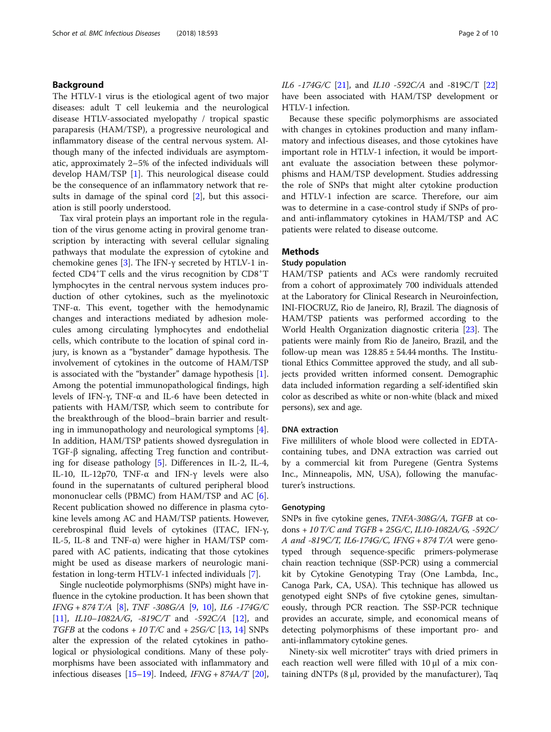# Background

The HTLV-1 virus is the etiological agent of two major diseases: adult T cell leukemia and the neurological disease HTLV-associated myelopathy / tropical spastic paraparesis (HAM/TSP), a progressive neurological and inflammatory disease of the central nervous system. Although many of the infected individuals are asymptomatic, approximately 2–5% of the infected individuals will develop HAM/TSP [\[1](#page-8-0)]. This neurological disease could be the consequence of an inflammatory network that results in damage of the spinal cord [\[2](#page-8-0)], but this association is still poorly understood.

Tax viral protein plays an important role in the regulation of the virus genome acting in proviral genome transcription by interacting with several cellular signaling pathways that modulate the expression of cytokine and chemokine genes [\[3](#page-8-0)]. The IFN- $\gamma$  secreted by HTLV-1 infected CD4<sup>+</sup>T cells and the virus recognition by CD8<sup>+</sup>T lymphocytes in the central nervous system induces production of other cytokines, such as the myelinotoxic TNF-α. This event, together with the hemodynamic changes and interactions mediated by adhesion molecules among circulating lymphocytes and endothelial cells, which contribute to the location of spinal cord injury, is known as a "bystander" damage hypothesis. The involvement of cytokines in the outcome of HAM/TSP is associated with the "bystander" damage hypothesis [\[1](#page-8-0)]. Among the potential immunopathological findings, high levels of IFN-γ, TNF-α and IL-6 have been detected in patients with HAM/TSP, which seem to contribute for the breakthrough of the blood–brain barrier and resulting in immunopathology and neurological symptoms [\[4](#page-8-0)]. In addition, HAM/TSP patients showed dysregulation in TGF-β signaling, affecting Treg function and contributing for disease pathology [\[5](#page-8-0)]. Differences in IL-2, IL-4, IL-10, IL-12p70, TNF-α and IFN-γ levels were also found in the supernatants of cultured peripheral blood mononuclear cells (PBMC) from HAM/TSP and AC [\[6](#page-8-0)]. Recent publication showed no difference in plasma cytokine levels among AC and HAM/TSP patients. However, cerebrospinal fluid levels of cytokines (ITAC, IFN-γ, IL-5, IL-8 and TNF- $\alpha$ ) were higher in HAM/TSP compared with AC patients, indicating that those cytokines might be used as disease markers of neurologic manifestation in long-term HTLV-1 infected individuals [[7](#page-8-0)].

Single nucleotide polymorphisms (SNPs) might have influence in the cytokine production. It has been shown that IFNG + 874 T/A [[8\]](#page-8-0), TNF -308G/A [[9](#page-9-0), [10\]](#page-9-0), IL6 -174G/C [[11](#page-9-0)],  $IL10-1082A/G$ ,  $-819C/T$  and  $-592C/A$  [\[12\]](#page-9-0), and TGFB at the codons  $+ 10$  T/C and  $+ 25$ G/C [[13](#page-9-0), [14](#page-9-0)] SNPs alter the expression of the related cytokines in pathological or physiological conditions. Many of these polymorphisms have been associated with inflammatory and infectious diseases  $[15–19]$  $[15–19]$  $[15–19]$  $[15–19]$ . Indeed,  $IFNG + 874A/T$   $[20]$  $[20]$  $[20]$ , IL6 -174G/C [[21](#page-9-0)], and IL10 -592C/A and -819C/T [[22](#page-9-0)] have been associated with HAM/TSP development or HTLV-1 infection.

Because these specific polymorphisms are associated with changes in cytokines production and many inflammatory and infectious diseases, and those cytokines have important role in HTLV-1 infection, it would be important evaluate the association between these polymorphisms and HAM/TSP development. Studies addressing the role of SNPs that might alter cytokine production and HTLV-1 infection are scarce. Therefore, our aim was to determine in a case-control study if SNPs of proand anti-inflammatory cytokines in HAM/TSP and AC patients were related to disease outcome.

# **Methods**

# Study population

HAM/TSP patients and ACs were randomly recruited from a cohort of approximately 700 individuals attended at the Laboratory for Clinical Research in Neuroinfection, INI-FIOCRUZ, Rio de Janeiro, RJ, Brazil. The diagnosis of HAM/TSP patients was performed according to the World Health Organization diagnostic criteria [\[23](#page-9-0)]. The patients were mainly from Rio de Janeiro, Brazil, and the follow-up mean was  $128.85 \pm 54.44$  months. The Institutional Ethics Committee approved the study, and all subjects provided written informed consent. Demographic data included information regarding a self-identified skin color as described as white or non-white (black and mixed persons), sex and age.

#### DNA extraction

Five milliliters of whole blood were collected in EDTAcontaining tubes, and DNA extraction was carried out by a commercial kit from Puregene (Gentra Systems Inc., Minneapolis, MN, USA), following the manufacturer's instructions.

#### Genotyping

SNPs in five cytokine genes, TNFA-308G/A, TGFB at codons + 10 T/C and TGFB + 25G/C, IL10-1082A/G, -592C/ A and -819C/T, IL6-174G/C, IFNG + 874 T/A were genotyped through sequence-specific primers-polymerase chain reaction technique (SSP-PCR) using a commercial kit by Cytokine Genotyping Tray (One Lambda, Inc., Canoga Park, CA, USA). This technique has allowed us genotyped eight SNPs of five cytokine genes, simultaneously, through PCR reaction. The SSP-PCR technique provides an accurate, simple, and economical means of detecting polymorphisms of these important pro- and anti-inflammatory cytokine genes.

Ninety-six well microtiter® trays with dried primers in each reaction well were filled with 10 μl of a mix containing dNTPs (8 μl, provided by the manufacturer), Taq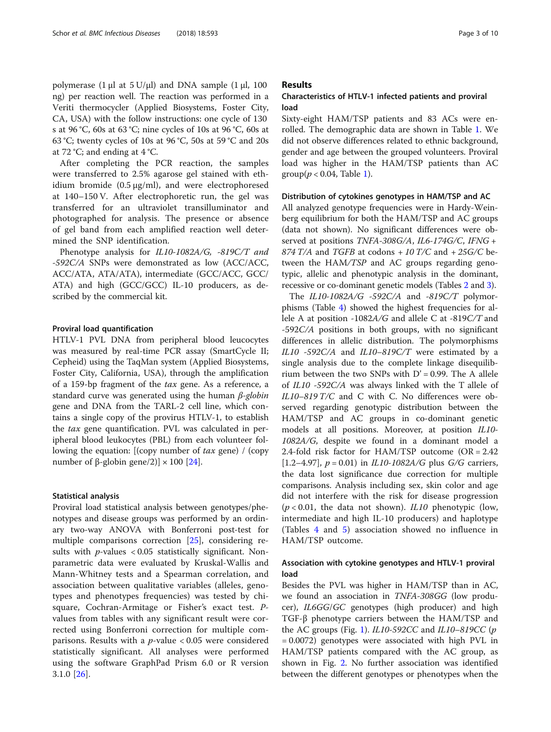polymerase (1 μl at  $5$  U/μl) and DNA sample (1 μl, 100 ng) per reaction well. The reaction was performed in a Veriti thermocycler (Applied Biosystems, Foster City, CA, USA) with the follow instructions: one cycle of 130 s at 96 °C, 60s at 63 °C; nine cycles of 10s at 96 °C, 60s at 63 °C; twenty cycles of 10s at 96 °C, 50s at 59 °C and 20s at 72 °C; and ending at 4 °C.

After completing the PCR reaction, the samples were transferred to 2.5% agarose gel stained with ethidium bromide  $(0.5 \mu g/ml)$ , and were electrophoresed at 140–150 V. After electrophoretic run, the gel was transferred for an ultraviolet transilluminator and photographed for analysis. The presence or absence of gel band from each amplified reaction well determined the SNP identification.

Phenotype analysis for IL10-1082A/G, -819C/T and -592C/A SNPs were demonstrated as low (ACC/ACC, ACC/ATA, ATA/ATA), intermediate (GCC/ACC, GCC/ ATA) and high (GCC/GCC) IL-10 producers, as described by the commercial kit.

#### Proviral load quantification

HTLV-1 PVL DNA from peripheral blood leucocytes was measured by real-time PCR assay (SmartCycle II; Cepheid) using the TaqMan system (Applied Biosystems, Foster City, California, USA), through the amplification of a 159-bp fragment of the tax gene. As a reference, a standard curve was generated using the human  $\beta$ -globin gene and DNA from the TARL-2 cell line, which contains a single copy of the provirus HTLV-1, to establish the tax gene quantification. PVL was calculated in peripheral blood leukocytes (PBL) from each volunteer following the equation:  $[(copy number of tax gene) / (copy)$ number of β-globin gene/2)]  $\times$  100 [[24\]](#page-9-0).

#### Statistical analysis

Proviral load statistical analysis between genotypes/phenotypes and disease groups was performed by an ordinary two-way ANOVA with Bonferroni post-test for multiple comparisons correction [[25\]](#page-9-0), considering results with  $p$ -values  $< 0.05$  statistically significant. Nonparametric data were evaluated by Kruskal-Wallis and Mann-Whitney tests and a Spearman correlation, and association between qualitative variables (alleles, genotypes and phenotypes frequencies) was tested by chisquare, Cochran-Armitage or Fisher's exact test. Pvalues from tables with any significant result were corrected using Bonferroni correction for multiple comparisons. Results with a  $p$ -value < 0.05 were considered statistically significant. All analyses were performed using the software GraphPad Prism 6.0 or R version 3.1.0 [\[26](#page-9-0)].

# Results

# Characteristics of HTLV-1 infected patients and proviral load

Sixty-eight HAM/TSP patients and 83 ACs were enrolled. The demographic data are shown in Table [1.](#page-3-0) We did not observe differences related to ethnic background, gender and age between the grouped volunteers. Proviral load was higher in the HAM/TSP patients than AC  $group(p < 0.04, Table 1).$  $group(p < 0.04, Table 1).$  $group(p < 0.04, Table 1).$ 

#### Distribution of cytokines genotypes in HAM/TSP and AC

All analyzed genotype frequencies were in Hardy-Weinberg equilibrium for both the HAM/TSP and AC groups (data not shown). No significant differences were observed at positions TNFA-308G/A, IL6-174G/C, IFNG + 874 T/A and TGFB at codons  $+ 10$  T/C and  $+ 25$ G/C between the HAM/TSP and AC groups regarding genotypic, allelic and phenotypic analysis in the dominant, recessive or co-dominant genetic models (Tables [2](#page-4-0) and [3](#page-5-0)).

The IL10-1082A/G -592C/A and -819C/T polymorphisms (Table [4](#page-5-0)) showed the highest frequencies for allele A at position -1082A/G and allele C at -819C/T and -592C/A positions in both groups, with no significant differences in allelic distribution. The polymorphisms IL10 -592C/A and IL10–819C/T were estimated by a single analysis due to the complete linkage disequilibrium between the two SNPs with  $D' = 0.99$ . The A allele of IL10 -592C/A was always linked with the T allele of IL10–819 T/C and C with C. No differences were observed regarding genotypic distribution between the HAM/TSP and AC groups in co-dominant genetic models at all positions. Moreover, at position IL10- 1082A/G, despite we found in a dominant model a 2.4-fold risk factor for HAM/TSP outcome (OR = 2.42 [1.2–4.97],  $p = 0.01$ ) in *IL10-1082A/G* plus *G/G* carriers, the data lost significance due correction for multiple comparisons. Analysis including sex, skin color and age did not interfere with the risk for disease progression  $(p < 0.01$ , the data not shown). *IL10* phenotypic (low, intermediate and high IL-10 producers) and haplotype (Tables [4](#page-5-0) and [5](#page-6-0)) association showed no influence in HAM/TSP outcome.

# Association with cytokine genotypes and HTLV-1 proviral load

Besides the PVL was higher in HAM/TSP than in AC, we found an association in TNFA-308GG (low producer), IL6GG/GC genotypes (high producer) and high TGF-β phenotype carriers between the HAM/TSP and the AC groups (Fig. [1](#page-6-0)). IL10-592CC and IL10–819CC (p = 0.0072) genotypes were associated with high PVL in HAM/TSP patients compared with the AC group, as shown in Fig. [2](#page-7-0). No further association was identified between the different genotypes or phenotypes when the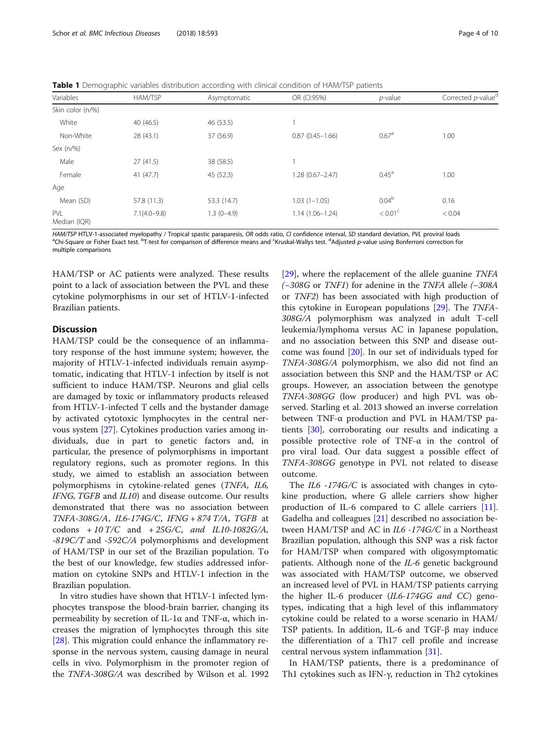<span id="page-3-0"></span>Table 1 Demographic variables distribution according with clinical condition of HAM/TSP patients

| <u>_</u>            |                  |              |                     |                   |                                |
|---------------------|------------------|--------------|---------------------|-------------------|--------------------------------|
| Variables           | HAM/TSP          | Asymptomatic | OR (CI:95%)         | $p$ -value        | Corrected p-value <sup>d</sup> |
| Skin color (n/%)    |                  |              |                     |                   |                                |
| White               | 40 (46.5)        | 46 (53.5)    |                     |                   |                                |
| Non-White           | 28 (43.1)        | 37 (56.9)    | $0.87(0.45 - 1.66)$ | 0.67 <sup>a</sup> | 1.00                           |
| Sex (n/%)           |                  |              |                     |                   |                                |
| Male                | 27(41.5)         | 38 (58.5)    |                     |                   |                                |
| Female              | 41(47.7)         | 45 (52.3)    | $1.28(0.67 - 2.47)$ | $0.45^{\text{a}}$ | 1.00                           |
| Age                 |                  |              |                     |                   |                                |
| Mean (SD)           | 57.8 (11.3)      | 53.3 (14.7)  | $1.03(1 - 1.05)$    | 0.04 <sup>b</sup> | 0.16                           |
| PVL<br>Median (IQR) | $7.1(4.0 - 9.8)$ | $1.3(0-4.9)$ | $1.14(1.06 - 1.24)$ | $< 0.01^{\circ}$  | < 0.04                         |

HAM/TSP HTLV-1-associated myelopathy / Tropical spastic paraparesis, OR odds ratio, CI confidence interval, SD standard deviation, PVL proviral loads Chi-Square or Fisher Exact test. <sup>b</sup>T-test for comparison of difference means and <sup>c</sup>Kruskal-Wallys test. <sup>d</sup>Adjusted p-value using Bonferroni correction for multiple comparisons

HAM/TSP or AC patients were analyzed. These results point to a lack of association between the PVL and these cytokine polymorphisms in our set of HTLV-1-infected Brazilian patients.

# **Discussion**

HAM/TSP could be the consequence of an inflammatory response of the host immune system; however, the majority of HTLV-1-infected individuals remain asymptomatic, indicating that HTLV-1 infection by itself is not sufficient to induce HAM/TSP. Neurons and glial cells are damaged by toxic or inflammatory products released from HTLV-1-infected T cells and the bystander damage by activated cytotoxic lymphocytes in the central nervous system [\[27](#page-9-0)]. Cytokines production varies among individuals, due in part to genetic factors and, in particular, the presence of polymorphisms in important regulatory regions, such as promoter regions. In this study, we aimed to establish an association between polymorphisms in cytokine-related genes (TNFA, IL6, IFNG, TGFB and IL10) and disease outcome. Our results demonstrated that there was no association between TNFA-308G/A, IL6-174G/C, IFNG + 874 T/A, TGFB at codons  $+ 10$  T/C and  $+ 25$ G/C, and IL10-1082G/A, -819C/T and -592C/A polymorphisms and development of HAM/TSP in our set of the Brazilian population. To the best of our knowledge, few studies addressed information on cytokine SNPs and HTLV-1 infection in the Brazilian population.

In vitro studies have shown that HTLV-1 infected lymphocytes transpose the blood-brain barrier, changing its permeability by secretion of IL-1α and TNF-α, which increases the migration of lymphocytes through this site [[28\]](#page-9-0). This migration could enhance the inflammatory response in the nervous system, causing damage in neural cells in vivo. Polymorphism in the promoter region of the TNFA-308G/A was described by Wilson et al. 1992

[[29\]](#page-9-0), where the replacement of the allele guanine TNFA (−308G or TNF1) for adenine in the TNFA allele (−308A or TNF2) has been associated with high production of this cytokine in European populations [[29](#page-9-0)]. The TNFA-308G/A polymorphism was analyzed in adult T-cell leukemia/lymphoma versus AC in Japanese population, and no association between this SNP and disease outcome was found [\[20](#page-9-0)]. In our set of individuals typed for TNFA-308G/A polymorphism, we also did not find an association between this SNP and the HAM/TSP or AC groups. However, an association between the genotype TNFA-308GG (low producer) and high PVL was observed. Starling et al. 2013 showed an inverse correlation between TNF-α production and PVL in HAM/TSP patients [[30](#page-9-0)], corroborating our results and indicating a possible protective role of TNF-α in the control of pro viral load. Our data suggest a possible effect of TNFA-308GG genotype in PVL not related to disease outcome.

The *IL6 -174G/C* is associated with changes in cytokine production, where G allele carriers show higher production of IL-6 compared to C allele carriers [\[11](#page-9-0)]. Gadelha and colleagues [[21\]](#page-9-0) described no association between HAM/TSP and AC in IL6 -174G/C in a Northeast Brazilian population, although this SNP was a risk factor for HAM/TSP when compared with oligosymptomatic patients. Although none of the IL-6 genetic background was associated with HAM/TSP outcome, we observed an increased level of PVL in HAM/TSP patients carrying the higher IL-6 producer (IL6-174GG and CC) genotypes, indicating that a high level of this inflammatory cytokine could be related to a worse scenario in HAM/ TSP patients. In addition, IL-6 and TGF-β may induce the differentiation of a Th17 cell profile and increase central nervous system inflammation [[31\]](#page-9-0).

In HAM/TSP patients, there is a predominance of Th1 cytokines such as IFN-γ, reduction in Th2 cytokines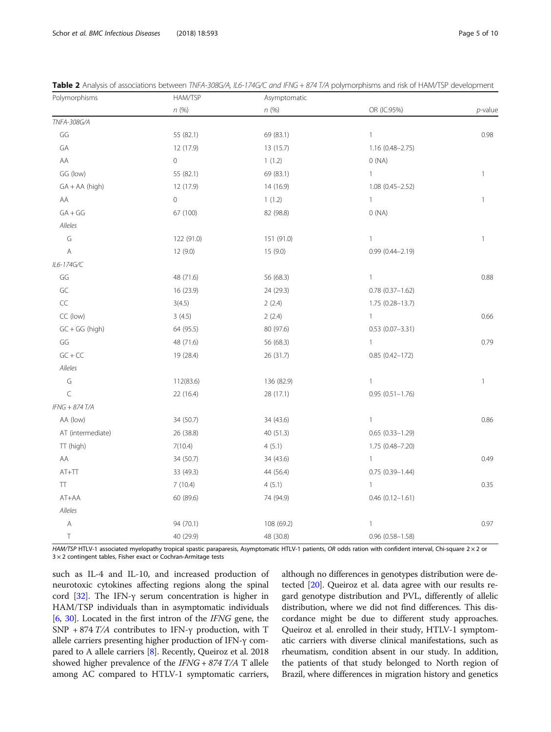| Polymorphisms     | HAM/TSP        | Asymptomatic |                        |              |
|-------------------|----------------|--------------|------------------------|--------------|
|                   | n(%)           | n(%)         | OR (IC:95%)            | $p$ -value   |
| TNFA-308G/A       |                |              |                        |              |
| GG                | 55 (82.1)      | 69 (83.1)    | $\mathbf{1}$           | 0.98         |
| GA                | 12 (17.9)      | 13 (15.7)    | $1.16(0.48 - 2.75)$    |              |
| AA                | $\overline{0}$ | 1(1.2)       | 0(NA)                  |              |
| GG (low)          | 55 (82.1)      | 69 (83.1)    | $\mathbf{1}$           | $\mathbf{1}$ |
| $GA + AA$ (high)  | 12 (17.9)      | 14 (16.9)    | $1.08(0.45 - 2.52)$    |              |
| AA                | $\circ$        | 1(1.2)       | $\mathbf{1}$           | $\mathbf{1}$ |
| $GA + GG$         | 67 (100)       | 82 (98.8)    | O(NA)                  |              |
| Alleles           |                |              |                        |              |
| $\mathsf G$       | 122 (91.0)     | 151 (91.0)   | $\mathbf{1}$           | $\mathbf{1}$ |
| Α                 | 12 (9.0)       | 15(9.0)      | $0.99(0.44 - 2.19)$    |              |
| IL6-174G/C        |                |              |                        |              |
| GG                | 48 (71.6)      | 56 (68.3)    | $\mathbf{1}$           | 0.88         |
| GC                | 16 (23.9)      | 24 (29.3)    | $0.78$ $(0.37-1.62)$   |              |
| $\sf CC$          | 3(4.5)         | 2(2.4)       | 1.75 (0.28-13.7)       |              |
| CC (low)          | 3(4.5)         | 2(2.4)       | $\mathbf{1}$           | 0.66         |
| $GC + GG$ (high)  | 64 (95.5)      | 80 (97.6)    | $0.53(0.07 - 3.31)$    |              |
| GG                | 48 (71.6)      | 56 (68.3)    | $\mathbf{1}$           | 0.79         |
| $GC + CC$         | 19 (28.4)      | 26 (31.7)    | $0.85(0.42 - 172)$     |              |
| Alleles           |                |              |                        |              |
| G                 | 112(83.6)      | 136 (82.9)   | $\mathbf{1}$           | $\mathbf{1}$ |
| $\subset$         | 22 (16.4)      | 28 (17.1)    | $0.95(0.51 - 1.76)$    |              |
| IFNG + 874 T/A    |                |              |                        |              |
| AA (low)          | 34 (50.7)      | 34 (43.6)    | $\mathbf{1}$           | 0.86         |
| AT (intermediate) | 26 (38.8)      | 40 (51.3)    | $0.65(0.33 - 1.29)$    |              |
| TT (high)         | 7(10.4)        | 4(5.1)       | 1.75 (0.48-7.20)       |              |
| AA                | 34 (50.7)      | 34 (43.6)    | $\mathbf{1}$           | 0.49         |
| $AT+TT$           | 33 (49.3)      | 44 (56.4)    | $0.75(0.39 - 1.44)$    |              |
| $\top$            | 7(10.4)        | 4(5.1)       | $\mathbf{1}$           | 0.35         |
| AT+AA             | 60 (89.6)      | 74 (94.9)    | $0.46(0.12 - 1.61)$    |              |
| Alleles           |                |              |                        |              |
| $\mathsf{A}$      | 94 (70.1)      | 108 (69.2)   | $\mathbf{1}$           | 0.97         |
| Τ                 | 40 (29.9)      | 48 (30.8)    | $0.96$ $(0.58 - 1.58)$ |              |

<span id="page-4-0"></span>Table 2 Analysis of associations between TNFA-308G/A, IL6-174G/C and IFNG + 874 T/A polymorphisms and risk of HAM/TSP development

HAM/TSP HTLV-1 associated myelopathy tropical spastic paraparesis, Asymptomatic HTLV-1 patients, OR odds ration with confident interval, Chi-square 2 × 2 or  $3 \times 2$  contingent tables, Fisher exact or Cochran-Armitage tests

such as IL-4 and IL-10, and increased production of neurotoxic cytokines affecting regions along the spinal cord [[32](#page-9-0)]. The IFN-γ serum concentration is higher in HAM/TSP individuals than in asymptomatic individuals [[6,](#page-8-0) [30\]](#page-9-0). Located in the first intron of the IFNG gene, the SNP + 874 T/A contributes to IFN- $\gamma$  production, with T allele carriers presenting higher production of IFN-γ compared to A allele carriers [\[8\]](#page-8-0). Recently, Queiroz et al. 2018 showed higher prevalence of the  $IFNG + 874 T/A$  T allele among AC compared to HTLV-1 symptomatic carriers, although no differences in genotypes distribution were detected [[20](#page-9-0)]. Queiroz et al. data agree with our results regard genotype distribution and PVL, differently of allelic distribution, where we did not find differences. This discordance might be due to different study approaches. Queiroz et al. enrolled in their study, HTLV-1 symptomatic carriers with diverse clinical manifestations, such as rheumatism, condition absent in our study. In addition, the patients of that study belonged to North region of Brazil, where differences in migration history and genetics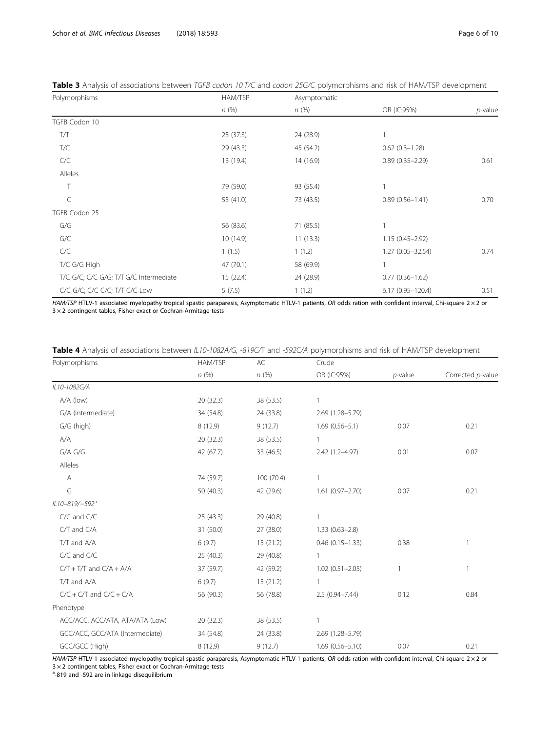| Polymorphisms                          | HAM/TSP   | Asymptomatic |                      |            |
|----------------------------------------|-----------|--------------|----------------------|------------|
|                                        | n(%)      | n(%)         | OR (IC:95%)          | $p$ -value |
| TGFB Codon 10                          |           |              |                      |            |
| T/Т                                    | 25(37.3)  | 24 (28.9)    |                      |            |
| T/C                                    | 29 (43.3) | 45 (54.2)    | $0.62(0.3 - 1.28)$   |            |
| C/C                                    | 13 (19.4) | 14(16.9)     | $0.89(0.35 - 2.29)$  | 0.61       |
| Alleles                                |           |              |                      |            |
| T                                      | 79 (59.0) | 93 (55.4)    | 1                    |            |
| C                                      | 55 (41.0) | 73 (43.5)    | $0.89(0.56 - 1.41)$  | 0.70       |
| TGFB Codon 25                          |           |              |                      |            |
| G/G                                    | 56 (83.6) | 71 (85.5)    | 1                    |            |
| G/C                                    | 10(14.9)  | 11(13.3)     | $1.15(0.45 - 2.92)$  |            |
| C/C                                    | 1(1.5)    | 1(1.2)       | $1.27(0.05 - 32.54)$ | 0.74       |
| T/C G/G High                           | 47 (70.1) | 58 (69.9)    | $\mathbf{1}$         |            |
| T/C G/C; C/C G/G; T/T G/C Intermediate | 15(22.4)  | 24 (28.9)    | $0.77(0.36 - 1.62)$  |            |
| C/C G/C; C/C C/C; T/T C/C Low          | 5(7.5)    | 1(1.2)       | $6.17(0.95 - 120.4)$ | 0.51       |

# <span id="page-5-0"></span>Table 3 Analysis of associations between TGFB codon 10 T/C and codon 25G/C polymorphisms and risk of HAM/TSP development

HAM/TSP HTLV-1 associated myelopathy tropical spastic paraparesis, Asymptomatic HTLV-1 patients, OR odds ration with confident interval, Chi-square 2  $\times$  2 or  $3 \times 2$  contingent tables, Fisher exact or Cochran-Armitage tests

|  | Table 4 Analysis of associations between IL10-1082A/G, -819C/T and -592C/A polymorphisms and risk of HAM/TSP development |  |
|--|--------------------------------------------------------------------------------------------------------------------------|--|
|--|--------------------------------------------------------------------------------------------------------------------------|--|

| Polymorphisms                   | HAM/TSP   | AC         | Crude               |            |                   |
|---------------------------------|-----------|------------|---------------------|------------|-------------------|
|                                 | n(%)      | n(%)       | OR (IC:95%)         | $p$ -value | Corrected p-value |
| IL10-1082G/A                    |           |            |                     |            |                   |
| A/A (low)                       | 20 (32.3) | 38 (53.5)  | $\overline{1}$      |            |                   |
| G/A (intermediate)              | 34 (54.8) | 24 (33.8)  | 2.69 (1.28-5.79)    |            |                   |
| G/G (high)                      | 8 (12.9)  | 9(12.7)    | $1.69(0.56 - 5.1)$  | 0.07       | 0.21              |
| A/A                             | 20 (32.3) | 38 (53.5)  | -1                  |            |                   |
| G/A G/G                         | 42 (67.7) | 33 (46.5)  | 2.42 (1.2-4.97)     | 0.01       | 0.07              |
| Alleles                         |           |            |                     |            |                   |
| Α                               | 74 (59.7) | 100 (70.4) | $\overline{1}$      |            |                   |
| G                               | 50 (40.3) | 42 (29.6)  | $1.61(0.97 - 2.70)$ | 0.07       | 0.21              |
| IL10-819/-592 <sup>a</sup>      |           |            |                     |            |                   |
| C/C and C/C                     | 25 (43.3) | 29 (40.8)  | $\overline{1}$      |            |                   |
| C/T and C/A                     | 31 (50.0) | 27 (38.0)  | $1.33(0.63 - 2.8)$  |            |                   |
| T/T and A/A                     | 6(9.7)    | 15(21.2)   | $0.46(0.15 - 1.33)$ | 0.38       | 1                 |
| C/C and C/C                     | 25 (40.3) | 29 (40.8)  | $\mathbf{1}$        |            |                   |
| $C/T + T/T$ and $C/A + A/A$     | 37 (59.7) | 42 (59.2)  | $1.02(0.51 - 2.05)$ | 1          | 1                 |
| T/T and A/A                     | 6(9.7)    | 15(21.2)   | $\overline{1}$      |            |                   |
| $C/C + C/T$ and $C/C + C/A$     | 56 (90.3) | 56 (78.8)  | $2.5(0.94 - 7.44)$  | 0.12       | 0.84              |
| Phenotype                       |           |            |                     |            |                   |
| ACC/ACC, ACC/ATA, ATA/ATA (Low) | 20 (32.3) | 38 (53.5)  |                     |            |                   |
| GCC/ACC, GCC/ATA (Intermediate) | 34 (54.8) | 24 (33.8)  | 2.69 (1.28-5.79)    |            |                   |
| GCC/GCC (High)                  | 8(12.9)   | 9(12.7)    | $1.69(0.56 - 5.10)$ | 0.07       | 0.21              |

HAM/TSP HTLV-1 associated myelopathy tropical spastic paraparesis, Asymptomatic HTLV-1 patients, OR odds ration with confident interval, Chi-square 2 × 2 or 3 × 2 contingent tables, Fisher exact or Cochran-Armitage tests

<sup>a</sup>-819 and -592 are in linkage disequilibrium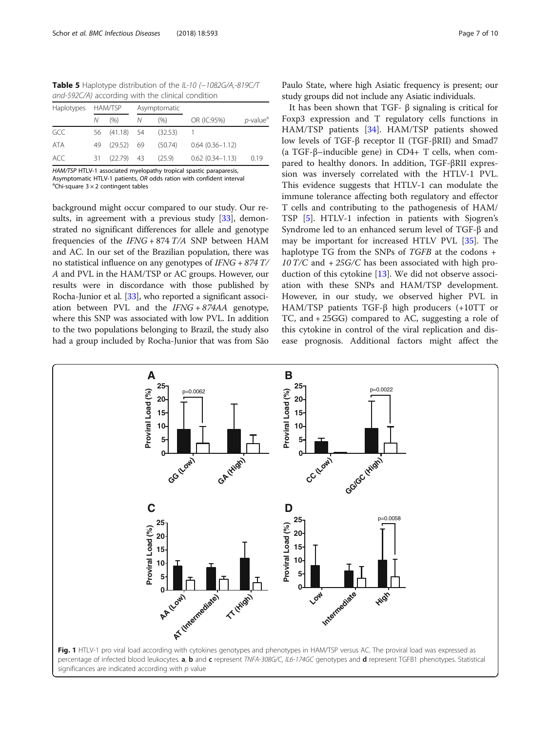<span id="page-6-0"></span>Table 5 Haplotype distribution of the IL-10 (-1082G/A,-819C/T and-592C/A) according with the clinical condition

| Haplotypes | HAM/TSP |               | Asymptomatic |         |                        |                         |
|------------|---------|---------------|--------------|---------|------------------------|-------------------------|
|            | Ν       | (9/6)         | Ν            | (% )    | OR (IC:95%)            | $p$ -value <sup>a</sup> |
| GCC        |         | 56 (41.18) 54 |              | (32.53) |                        |                         |
| <b>ATA</b> | 49      | $(29.52)$ 69  |              | (50.74) | $0.64(0.36 - 1.12)$    |                         |
| ACC        | 31      | $(22.79)$ 43  |              | (25.9)  | $0.62$ $(0.34 - 1.13)$ | 0.19                    |

HAM/TSP HTLV-1 associated myelopathy tropical spastic paraparesis, Asymptomatic HTLV-1 patients, OR odds ration with confident interval <sup>a</sup>Chi-square  $3 \times 2$  contingent tables

background might occur compared to our study. Our re-sults, in agreement with a previous study [[33](#page-9-0)], demonstrated no significant differences for allele and genotype frequencies of the  $IFNG + 874 T/A$  SNP between HAM and AC. In our set of the Brazilian population, there was no statistical influence on any genotypes of IFNG + 874 T/ A and PVL in the HAM/TSP or AC groups. However, our results were in discordance with those published by Rocha-Junior et al. [[33](#page-9-0)], who reported a significant association between PVL and the IFNG + 874AA genotype, where this SNP was associated with low PVL. In addition to the two populations belonging to Brazil, the study also had a group included by Rocha-Junior that was from São Paulo State, where high Asiatic frequency is present; our study groups did not include any Asiatic individuals.

It has been shown that TGF- β signaling is critical for Foxp3 expression and T regulatory cells functions in HAM/TSP patients [\[34](#page-9-0)]. HAM/TSP patients showed low levels of TGF-β receptor II (TGF-βRII) and Smad7 (a TGF-β–inducible gene) in CD4+ T cells, when compared to healthy donors. In addition, TGF-βRII expression was inversely correlated with the HTLV-1 PVL. This evidence suggests that HTLV-1 can modulate the immune tolerance affecting both regulatory and effector T cells and contributing to the pathogenesis of HAM/ TSP [[5\]](#page-8-0). HTLV-1 infection in patients with Sjogren's Syndrome led to an enhanced serum level of TGF-β and may be important for increased HTLV PVL [\[35](#page-9-0)]. The haplotype TG from the SNPs of TGFB at the codons + 10 T/C and  $+25$ G/C has been associated with high production of this cytokine [\[13](#page-9-0)]. We did not observe association with these SNPs and HAM/TSP development. However, in our study, we observed higher PVL in HAM/TSP patients TGF-β high producers (+10TT or TC, and + 25GG) compared to AC, suggesting a role of this cytokine in control of the viral replication and disease prognosis. Additional factors might affect the

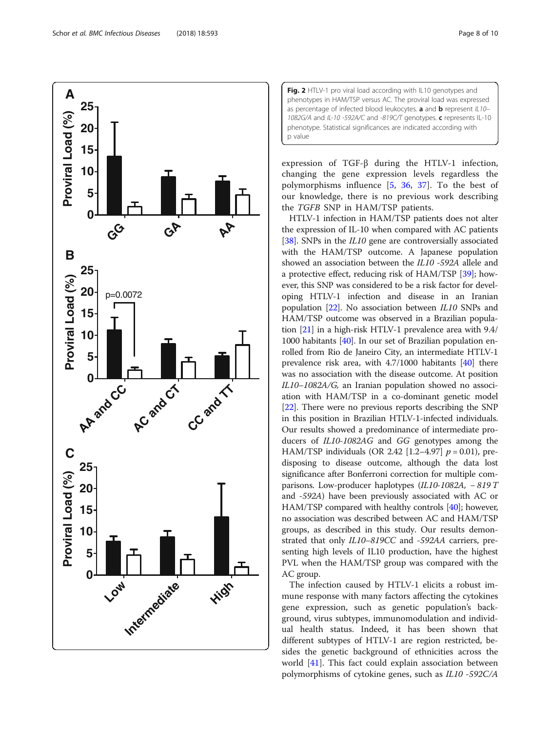<span id="page-7-0"></span>

Fig. 2 HTLV-1 pro viral load according with IL10 genotypes and phenotypes in HAM/TSP versus AC. The proviral load was expressed as percentage of infected blood leukocytes. **a** and **b** represent  $|L10-$ 1082G/A and IL-10 -592A/C and -819C/T genotypes. c represents IL-10 phenotype. Statistical significances are indicated according with p value

expression of TGF-β during the HTLV-1 infection, changing the gene expression levels regardless the polymorphisms influence [\[5](#page-8-0), [36,](#page-9-0) [37\]](#page-9-0). To the best of our knowledge, there is no previous work describing the TGFB SNP in HAM/TSP patients.

HTLV-1 infection in HAM/TSP patients does not alter the expression of IL-10 when compared with AC patients [[38](#page-9-0)]. SNPs in the *IL10* gene are controversially associated with the HAM/TSP outcome. A Japanese population showed an association between the IL10 -592A allele and a protective effect, reducing risk of HAM/TSP [\[39\]](#page-9-0); however, this SNP was considered to be a risk factor for developing HTLV-1 infection and disease in an Iranian population [\[22\]](#page-9-0). No association between IL10 SNPs and HAM/TSP outcome was observed in a Brazilian population [\[21\]](#page-9-0) in a high-risk HTLV-1 prevalence area with 9.4/ 1000 habitants [[40](#page-9-0)]. In our set of Brazilian population enrolled from Rio de Janeiro City, an intermediate HTLV-1 prevalence risk area, with 4.7/1000 habitants [[40](#page-9-0)] there was no association with the disease outcome. At position IL10–1082A/G, an Iranian population showed no association with HAM/TSP in a co-dominant genetic model [[22](#page-9-0)]. There were no previous reports describing the SNP in this position in Brazilian HTLV-1-infected individuals. Our results showed a predominance of intermediate producers of IL10-1082AG and GG genotypes among the HAM/TSP individuals (OR 2.42 [1.2–4.97]  $p = 0.01$ ), predisposing to disease outcome, although the data lost significance after Bonferroni correction for multiple comparisons. Low-producer haplotypes (IL10-1082A, − 819 T and -592A) have been previously associated with AC or HAM/TSP compared with healthy controls [[40](#page-9-0)]; however, no association was described between AC and HAM/TSP groups, as described in this study. Our results demonstrated that only IL10–819CC and -592AA carriers, presenting high levels of IL10 production, have the highest PVL when the HAM/TSP group was compared with the AC group.

The infection caused by HTLV-1 elicits a robust immune response with many factors affecting the cytokines gene expression, such as genetic population's background, virus subtypes, immunomodulation and individual health status. Indeed, it has been shown that different subtypes of HTLV-1 are region restricted, besides the genetic background of ethnicities across the world [\[41](#page-9-0)]. This fact could explain association between polymorphisms of cytokine genes, such as IL10 -592C/A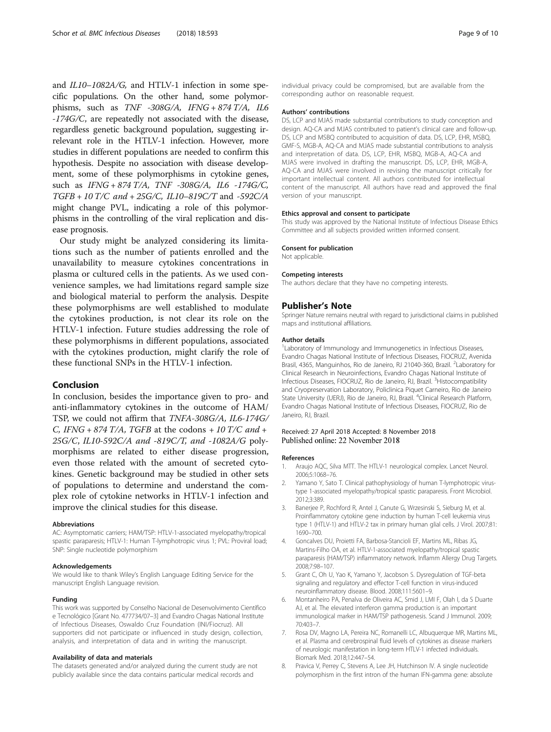<span id="page-8-0"></span>and IL10–1082A/G, and HTLV-1 infection in some specific populations. On the other hand, some polymorphisms, such as TNF -308G/A, IFNG + 874 T/A, IL6 -174G/C, are repeatedly not associated with the disease, regardless genetic background population, suggesting irrelevant role in the HTLV-1 infection. However, more studies in different populations are needed to confirm this hypothesis. Despite no association with disease development, some of these polymorphisms in cytokine genes, such as IFNG + 874 T/A, TNF -308G/A, IL6 -174G/C, TGFB + 10 T/C and + 25G/C, IL10–819C/T and -592C/A might change PVL, indicating a role of this polymorphisms in the controlling of the viral replication and disease prognosis.

Our study might be analyzed considering its limitations such as the number of patients enrolled and the unavailability to measure cytokines concentrations in plasma or cultured cells in the patients. As we used convenience samples, we had limitations regard sample size and biological material to perform the analysis. Despite these polymorphisms are well established to modulate the cytokines production, is not clear its role on the HTLV-1 infection. Future studies addressing the role of these polymorphisms in different populations, associated with the cytokines production, might clarify the role of these functional SNPs in the HTLV-1 infection.

## Conclusion

In conclusion, besides the importance given to pro- and anti-inflammatory cytokines in the outcome of HAM/ TSP, we could not affirm that TNFA-308G/A, IL6-174G/ C, IFNG + 874 T/A, TGFB at the codons + 10 T/C and + 25G/C, IL10-592C/A and -819C/T, and -1082A/G polymorphisms are related to either disease progression, even those related with the amount of secreted cytokines. Genetic background may be studied in other sets of populations to determine and understand the complex role of cytokine networks in HTLV-1 infection and improve the clinical studies for this disease.

#### Abbreviations

AC: Asymptomatic carriers: HAM/TSP: HTLV-1-associated myelopathy/tropical spastic paraparesis; HTLV-1: Human T-lymphotropic virus 1; PVL: Proviral load; SNP: Single nucleotide polymorphism

#### Acknowledgements

We would like to thank Wiley's English Language Editing Service for the manuscript English Language revision.

#### Funding

This work was supported by Conselho Nacional de Desenvolvimento Científico e Tecnológico [Grant No. 477734/07–3] and Evandro Chagas National Institute of Infectious Diseases, Oswaldo Cruz Foundation (INI/Fiocruz). All supporters did not participate or influenced in study design, collection, analysis, and interpretation of data and in writing the manuscript.

#### Availability of data and materials

The datasets generated and/or analyzed during the current study are not publicly available since the data contains particular medical records and

individual privacy could be compromised, but are available from the corresponding author on reasonable request.

#### Authors' contributions

DS, LCP and MJAS made substantial contributions to study conception and design. AQ-CA and MJAS contributed to patient's clinical care and follow-up. DS, LCP and MSBQ contributed to acquisition of data. DS, LCP, EHR, MSBQ, GMF-S, MGB-A, AQ-CA and MJAS made substantial contributions to analysis and interpretation of data. DS, LCP, EHR, MSBQ, MGB-A, AQ-CA and MJAS were involved in drafting the manuscript. DS, LCP, EHR, MGB-A, AQ-CA and MJAS were involved in revising the manuscript critically for important intellectual content. All authors contributed for intellectual content of the manuscript. All authors have read and approved the final version of your manuscript.

#### Ethics approval and consent to participate

This study was approved by the National Institute of Infectious Disease Ethics Committee and all subjects provided written informed consent.

#### Consent for publication

Not applicable.

#### Competing interests

The authors declare that they have no competing interests.

## Publisher's Note

Springer Nature remains neutral with regard to jurisdictional claims in published maps and institutional affiliations.

#### Author details

<sup>1</sup> Laboratory of Immunology and Immunogenetics in Infectious Diseases, Evandro Chagas National Institute of Infectious Diseases, FIOCRUZ, Avenida Brasil, 4365, Manguinhos, Rio de Janeiro, RJ 21040-360, Brazil. <sup>2</sup>Laboratory for Clinical Research in Neuroinfections, Evandro Chagas National Institute of Infectious Diseases, FIOCRUZ, Rio de Janeiro, RJ, Brazil. <sup>3</sup>Histocompatibility and Cryopreservation Laboratory, Policlinica Piquet Carneiro, Rio de Janeiro State University (UERJ), Rio de Janeiro, RJ, Brazil. <sup>4</sup>Clinical Research Platform, Evandro Chagas National Institute of Infectious Diseases, FIOCRUZ, Rio de Janeiro, RJ, Brazil.

#### Received: 27 April 2018 Accepted: 8 November 2018 Published online: 22 November 2018

#### References

- 1. Araujo AQC, Silva MTT. The HTLV-1 neurological complex. Lancet Neurol. 2006;5:1068–76.
- 2. Yamano Y, Sato T. Clinical pathophysiology of human T-lymphotropic virustype 1-associated myelopathy/tropical spastic paraparesis. Front Microbiol. 2012;3:389.
- 3. Banerjee P, Rochford R, Antel J, Canute G, Wrzesinski S, Sieburg M, et al. Proinflammatory cytokine gene induction by human T-cell leukemia virus type 1 (HTLV-1) and HTLV-2 tax in primary human glial cells. J Virol. 2007;81: 1690–700.
- 4. Goncalves DU, Proietti FA, Barbosa-Stancioli EF, Martins ML, Ribas JG, Martins-Filho OA, et al. HTLV-1-associated myelopathy/tropical spastic paraparesis (HAM/TSP) inflammatory network. Inflamm Allergy Drug Targets. 2008;7:98–107.
- 5. Grant C, Oh U, Yao K, Yamano Y, Jacobson S. Dysregulation of TGF-beta signaling and regulatory and effector T-cell function in virus-induced neuroinflammatory disease. Blood. 2008;111:5601–9.
- 6. Montanheiro PA, Penalva de Oliveira AC, Smid J, LMI F, Olah I, da S Duarte AJ, et al. The elevated interferon gamma production is an important immunological marker in HAM/TSP pathogenesis. Scand J Immunol. 2009; 70:403–7.
- 7. Rosa DV, Magno LA, Pereira NC, Romanelli LC, Albuquerque MR, Martins ML, et al. Plasma and cerebrospinal fluid levels of cytokines as disease markers of neurologic manifestation in long-term HTLV-1 infected individuals. Biomark Med. 2018;12:447–54.
- 8. Pravica V, Perrey C, Stevens A, Lee JH, Hutchinson IV. A single nucleotide polymorphism in the first intron of the human IFN-gamma gene: absolute